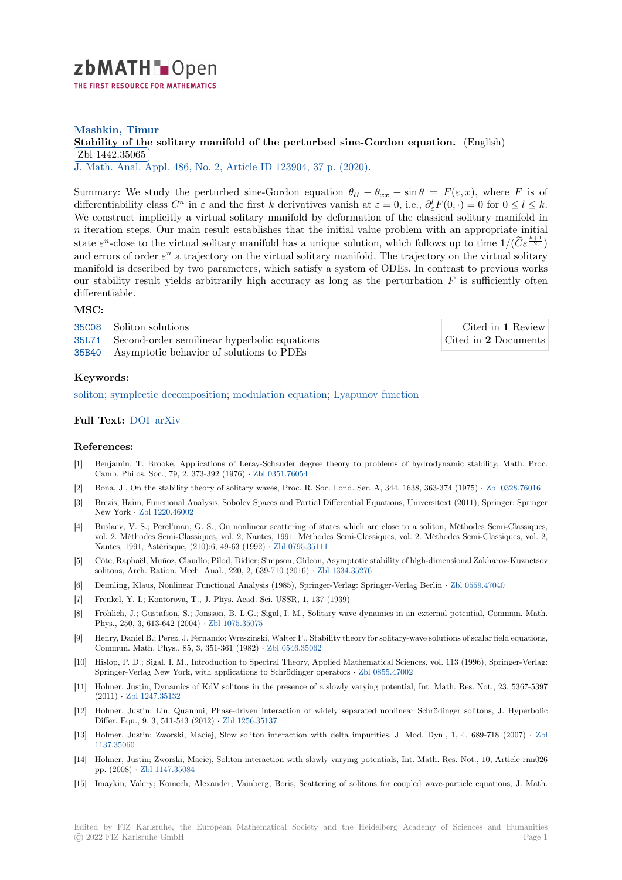

## **Mashkin, Timur [S](https://zbmath.org/)tability of the solitary manifold of the perturbed sine-Gordon equation.** (English) Zbl 1442.35065

✂ ✁ J. Math. Anal. Appl. 486, No. 2, Article ID 123904, 37 p. (2020).

[Summary: We study the perturbed sine-Gordon equation](https://zbmath.org/1442.35065)  $\theta_{tt} - \theta_{xx} + \sin \theta = F(\varepsilon, x)$ , where *F* is of [differentiability cl](https://zbmath.org/1442.35065)ass  $C^n$  in  $\varepsilon$  and the first  $k$  derivatives vanish at  $\varepsilon = 0$ , i.e.,  $\partial^l_{\varepsilon} F(0, \cdot) = 0$  for  $0 \le l \le k$ . [We construct implicit](https://zbmath.org/journals/?q=se:132)[ly a virtual solitary manifold by deformati](https://zbmath.org/?q=in:450510)on of the classical solitary manifold in *n* iteration steps. Our main result establishes that the initial value problem with an appropriate initial state  $\varepsilon^n$ -close to the virtual solitary manifold has a unique solution, which follows up to time  $1/(\widetilde{C}\varepsilon^{\frac{k+1}{2}})$ and errors of order  $\varepsilon^n$  a trajectory on the virtual solitary manifold. The trajectory on the virtual solitary manifold is described by two parameters, which satisfy a system of ODEs. In contrast to previous works our stability result yields arbitrarily high accuracy as long as the perturbation *F* is sufficiently often differentiable.

### **MSC:**

35C08 Soliton solutions 35L71 Second-order semilinear hyperbolic equations 35B40 Asymptotic behavior of solutions to PDEs

Cited in **1** Review Cited in **2** Documents

#### **[Keyw](https://zbmath.org/classification/?q=cc:35C08)ords:**

[soliton](https://zbmath.org/classification/?q=cc:35L71); symplectic decomposition; modulation equation; Lyapunov function

# **Full Text:** DOI arXiv

#### **[Refere](https://zbmath.org/?q=ut:soliton)[nces:](https://zbmath.org/?q=ut:symplectic+decomposition)**

- [1] Benjamin, T. Brooke, Applications of Leray-Schauder degree theory to problems of hydrodynamic stability, Math. Proc. Camb. P[hilos.](https://dx.doi.org/10.1016/j.jmaa.2020.123904)[S](https://dx.doi.org/10.1016/j.jmaa.2020.123904)[oc., 79,](https://arxiv.org/abs/1705.05713) 2, 373-392 (1976) *·* Zbl 0351.76054
- [2] Bona, J., On the stability theory of solitary waves, Proc. R. Soc. Lond. Ser. A, 344, 1638, 363-374 (1975) *·* Zbl 0328.76016
- [3] Brezis, Haim, Functional Analysis, Sobolev Spaces and Partial Differential Equations, Universitext (2011), Springer: Springer New York *·* Zbl 1220.46002
- [4] Buslaev, V. S.; Perel'man, G. S., On nonli[near scattering](https://zbmath.org/0351.76054) of states which are close to a soliton, Méthodes Semi-Classiques, vol. 2. Méthodes Semi-Classiques, vol. 2, Nantes, 1991. Méthodes Semi-Classiques, vol. 2. Méthodes Semi-[Classiques, vol.](https://zbmath.org/0328.76016) 2, Nantes, 1991, Astérisque, (210):6, 49-63 (1992) *·* Zbl 0795.35111
- [5] Côte, Raph[aël; Muñoz, Clau](https://zbmath.org/1220.46002)dio; Pilod, Didier; Simpson, Gideon, Asymptotic stability of high-dimensional Zakharov-Kuznetsov solitons, Arch. Ration. Mech. Anal., 220, 2, 639-710 (2016) *·* Zbl 1334.35276
- [6] Deimling, Klaus, Nonlinear Functional Analysis (1985), Springer-Verlag: Springer-Verlag Berlin *·* Zbl 0559.47040
- [7] Frenkel, Y. I.; Kontorova, T., J. Phys. Acad. Sci. [USSR, 1, 137 \(](https://zbmath.org/0795.35111)1939)
- [8] Fröhlich, J.; Gustafson, S.; Jonsson, B. L.G.; Sigal, I. M., So[litary wave dyn](https://zbmath.org/1334.35276)amics in an external potential, Commun. Math. Phys., 250, 3, 613-642 (2004) *·* Zbl 1075.35075
- [9] Henry, Daniel B.; Perez, J. Fernando; Wreszinski, Walter F., Stability theory for solitary-wave soluti[ons of scalar field](https://zbmath.org/0559.47040) equations, Commun. Math. Phys., 85, 3, 351-361 (1982) *·* Zbl 0546.35062
- [10] Hislop, P. D.; Sigal, I. M., Introduction to Spectral Theory, Applied Mathematical Sciences, vol. 113 (1996), Springer-Verlag: Springer-Verlag New York, wit[h applications t](https://zbmath.org/1075.35075)o Schrödinger operators *·* Zbl 0855.47002
- [11] Holmer, Justin, Dynamics of KdV solitons in the presence of a slowly varying potential, Int. Math. Res. Not., 23, 5367-5397 (2011) *·* Zbl 1247.35132
- [12] Holmer, Justin; Lin, Quanhui, Phase-driven interaction of widely separated nonlinear Schrödinger solitons, J. Hyperbolic Differ. Equ., 9, 3, 511-543 (2012) *·* Zbl 1256.35137
- [13] Holmer, Justin; Zworski, Maciej, Slow soliton interaction with delta impurities, J. Mod. Dyn., 1, 4, 689-718 (2007) *·* Zbl 1137.350[60](https://zbmath.org/1247.35132)
- [14] Holmer, Justin; Zworski, Maciej, Soliton interaction with slowly varying potentials, Int. Math. Res. Not., 10, Article rnn026 pp. (2008) *·* Zbl 1147.35084
- [15] Imaykin, Valery; Komech, Alexander; Vainberg, Boris, Scattering of solitons for coupled wave-particle equations, J. M[ath.](https://zbmath.org/1137.35060)